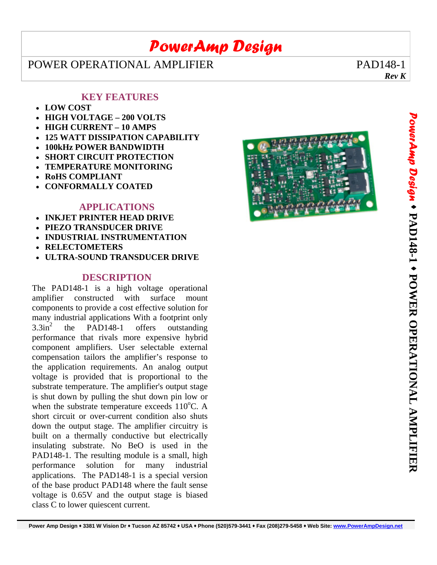## *PowerAmp Design*

### POWER OPERATIONAL AMPLIFIER PAD148-1

*Rev K*

### **KEY FEATURES**

- **LOW COST**
- **HIGH VOLTAGE 200 VOLTS**
- **HIGH CURRENT 10 AMPS**
- **125 WATT DISSIPATION CAPABILITY**
- **100kHz POWER BANDWIDTH**
- **SHORT CIRCUIT PROTECTION**
- **TEMPERATURE MONITORING**
- **RoHS COMPLIANT**
- **CONFORMALLY COATED**

#### **APPLICATIONS**

- **INKJET PRINTER HEAD DRIVE**
- **PIEZO TRANSDUCER DRIVE**
- **INDUSTRIAL INSTRUMENTATION**
- **RELECTOMETERS**
- **ULTRA-SOUND TRANSDUCER DRIVE**

#### **DESCRIPTION**

The PAD148-1 is a high voltage operational amplifier constructed with surface mount components to provide a cost effective solution for many industrial applications With a footprint only  $3.3in<sup>2</sup>$  the PAD148-1 offers outstanding performance that rivals more expensive hybrid component amplifiers. User selectable external compensation tailors the amplifier's response to the application requirements. An analog output voltage is provided that is proportional to the substrate temperature. The amplifier's output stage is shut down by pulling the shut down pin low or when the substrate temperature exceeds  $110^{\circ}$ C. A short circuit or over-current condition also shuts down the output stage. The amplifier circuitry is built on a thermally conductive but electrically insulating substrate. No BeO is used in the PAD148-1. The resulting module is a small, high performance solution for many industrial applications. The PAD148-1 is a special version of the base product PAD148 where the fault sense voltage is 0.65V and the output stage is biased class C to lower quiescent current.

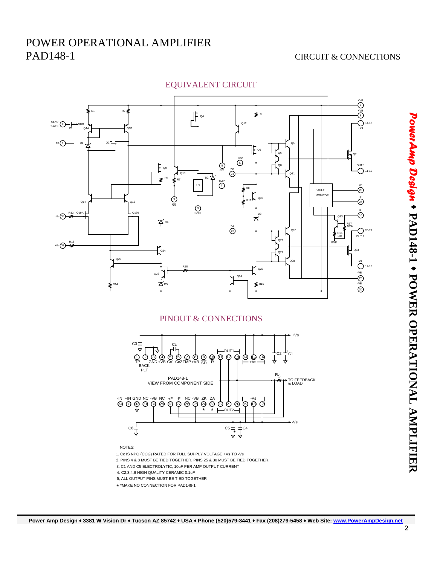

#### EQUIVALENT CIRCUIT

#### PINOUT & CONNECTIONS



1. Cc IS NPO (COG) RATED FOR FULL SUPPLY VOLTAGE +Vs TO -Vs

2. PINS 4 & 8 MUST BE TIED TOGETHER. PINS 25 & 30 MUST BE TIED TOGETHER.

3. C1 AND C5 ELECTROLYTIC, 10uF PER AMP OUTPUT CURRENT

4. C2,3,4,6 HIGH QUALITY CERAMIC 0.1uF

5, ALL OUTPUT PINS MUST BE TIED TOGETHER

\* \*MAKE NO CONNECTION FOR PAD148-1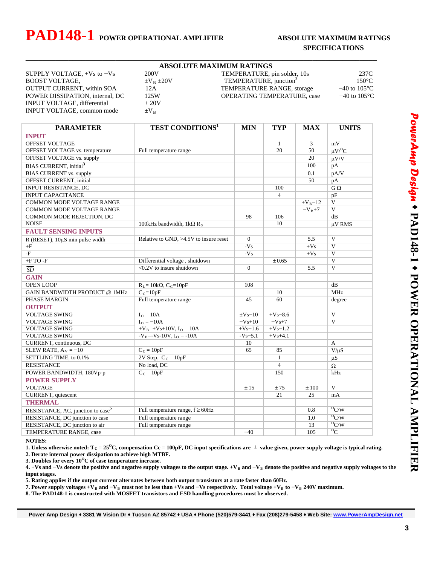## **PAD148-1** POWER OPERATIONAL AMPLIFIER ABSOLUTE MAXIMUM RATINGS

INPUT VOLTAGE, differential  $\pm 20V$ INPUT VOLTAGE, common mode  $\pm V_B$ 

## **SPECIFICATIONS**

|                                |                   | <b>ABSOLUTE MAXIMUM RATINGS</b>    |                          |
|--------------------------------|-------------------|------------------------------------|--------------------------|
| SUPPLY VOLTAGE, $+Vs$ to $-Vs$ | 200V              | TEMPERATURE, pin solder, 10s       | 237C                     |
| <b>BOOST VOLTAGE.</b>          | $\pm V_B \pm 20V$ | TEMPERATURE, junction <sup>2</sup> | 150°C                    |
| OUTPUT CURRENT, within SOA     |                   | TEMPER ATURE RANGE, storage        | $-40$ to 105 $\degree$ C |

\_\_\_\_\_\_\_\_\_\_\_\_\_\_\_\_\_\_\_\_\_\_\_\_\_\_\_\_\_\_\_\_\_\_\_\_\_\_\_\_\_\_\_\_\_\_\_\_\_\_\_\_\_\_\_\_\_\_\_\_\_\_\_\_\_\_\_\_\_\_\_\_\_\_\_\_\_\_\_\_\_\_

| BOOST VOLTAGE,                    | $\pm V_B \pm 20V$ | TEMPERATURE, junction              | 150°C                    |
|-----------------------------------|-------------------|------------------------------------|--------------------------|
| <b>OUTPUT CURRENT, within SOA</b> | 12A               | TEMPERATURE RANGE, storage         | $-40$ to $105^{\circ}$ C |
| POWER DISSIPATION, internal, DC   | 125W              | <b>OPERATING TEMPERATURE, case</b> | $-40$ to $105^{\circ}$ C |
| _____________                     |                   |                                    |                          |

|         | $150^{\circ}$ C          |  |  |
|---------|--------------------------|--|--|
| torage  | $-40$ to $105^{\circ}$ C |  |  |
| RE case | $-40$ to $105^{\circ}$ C |  |  |

| <b>PARAMETER</b>                              | <b>TEST CONDITIONS<sup>1</sup></b>           | <b>MIN</b>     | <b>TYP</b>     | <b>MAX</b> | <b>UNITS</b>            |
|-----------------------------------------------|----------------------------------------------|----------------|----------------|------------|-------------------------|
| <b>INPUT</b>                                  |                                              |                |                |            |                         |
| <b>OFFSET VOLTAGE</b>                         |                                              |                | $\mathbf{1}$   | 3          | mV                      |
| <b>OFFSET VOLTAGE vs. temperature</b>         | Full temperature range                       |                | 20             | 50         | $\mu V$ <sup>O</sup> C  |
| OFFSET VOLTAGE vs. supply                     |                                              |                |                | 20         | $\mu V/V$               |
| <b>BIAS CURRENT</b> , initial <sup>3</sup>    |                                              |                |                | 100        | pA                      |
| <b>BIAS CURRENT vs. supply</b>                |                                              |                |                | 0.1        | pA/V                    |
| OFFSET CURRENT, initial                       |                                              |                |                | 50         | pA                      |
| INPUT RESISTANCE, DC                          |                                              |                | 100            |            | $G \Omega$              |
| <b>INPUT CAPACITANCE</b>                      |                                              |                | $\overline{4}$ |            | pF                      |
| <b>COMMON MODE VOLTAGE RANGE</b>              |                                              |                |                | $+V_B-12$  | V                       |
| COMMON MODE VOLTAGE RANGE                     |                                              |                |                | $-V_{B}+7$ | V                       |
| COMMON MODE REJECTION, DC                     |                                              | 98             | 106            |            | dB                      |
| <b>NOISE</b>                                  | 100kHz bandwidth, 1k $\Omega$ R <sub>s</sub> |                | 10             |            | μV RMS                  |
| <b>FAULT SENSING INPUTS</b>                   |                                              |                |                |            |                         |
| $R$ (RESET), $10\mu S$ min pulse width        | Relative to GND, $>4.5V$ to insure reset     | $\overline{0}$ |                | 5.5        | V                       |
| $+F$                                          |                                              | $-Vs$          |                | $+Vs$      | V                       |
| $-F$                                          |                                              | $-Vs$          |                | $+Vs$      | $\mathbf{V}$            |
| $+FTO-F$                                      | Differential voltage, shutdown               |                | ± 0.65         |            | $\overline{\mathbf{V}}$ |
| $\overline{SD}$                               | <0.2V to insure shutdown                     | $\mathbf{0}$   |                | 5.5        | V                       |
| <b>GAIN</b>                                   |                                              |                |                |            |                         |
| <b>OPEN LOOP</b>                              | $R_L = 10k\Omega$ , C <sub>C</sub> =10pF     | 108            |                |            | dB                      |
| GAIN BANDWIDTH PRODUCT @ 1MHz                 | $C_C = 10pF$                                 |                | 10             |            | <b>MHz</b>              |
| PHASE MARGIN                                  | Full temperature range                       | 45             | 60             |            | degree                  |
| <b>OUTPUT</b>                                 |                                              |                |                |            |                         |
| <b>VOLTAGE SWING</b>                          | $IO = 10A$                                   | $\pm$ Vs-10    | $+Vs-8.6$      |            | $\overline{\mathbf{V}}$ |
| <b>VOLTAGE SWING</b>                          | $Io = -10A$                                  | $-Vs+10$       | $-Vs+7$        |            | V                       |
| <b>VOLTAGE SWING</b>                          | $+V_B=+V_s+10V$ , $I_O=10A$                  | $+Vs-1.6$      | $+Vs-1.2$      |            |                         |
| <b>VOLTAGE SWING</b>                          | $-V_B = -Vs - 10V$ , $I_O = -10A$            | $-Vs = 5.1$    | $+Vs+4.1$      |            |                         |
| CURRENT, continuous, DC                       |                                              | 10             |                |            | $\mathbf{A}$            |
| SLEW RATE, $A_V = -10$                        | $C_C = 10pF$                                 | 65             | 85             |            | $V/\mu S$               |
| SETTLING TIME, to 0.1%                        | 2V Step, $C_C = 10pF$                        |                | $\mathbf{1}$   |            | $\mu S$                 |
| <b>RESISTANCE</b>                             | No load, DC                                  |                | $\overline{4}$ |            | $\Omega$                |
| POWER BANDWIDTH, 180Vp-p                      | $C_C = 10pF$                                 |                | 150            |            | kHz                     |
| <b>POWER SUPPLY</b>                           |                                              |                |                |            |                         |
| <b>VOLTAGE</b>                                |                                              | ±15            | ±75            | $\pm 100$  | V                       |
| CURRENT, quiescent                            |                                              |                | 21             | 25         | mA                      |
| <b>THERMAL</b>                                |                                              |                |                |            |                         |
| RESISTANCE, AC, junction to case <sup>5</sup> | Full temperature range, $f \geq 60$ Hz       |                |                | 0.8        | O <sub>C/W</sub>        |
| RESISTANCE, DC junction to case               | Full temperature range                       |                |                | 1.0        | O <sub>C/W</sub>        |
| RESISTANCE, DC junction to air                | Full temperature range                       |                |                | 13         | $^{0}$ C/W              |
| TEMPERATURE RANGE, case                       |                                              | $-40$          |                | 105        | $\overline{C}$          |

**NOTES:** 

**1.** Unless otherwise noted:  $T_c = 25^\circ$ C, compensation Cc = 100pF, DC input specifications are  $\pm$  value given, power supply voltage is typical rating. **2. Derate internal power dissipation to achieve high MTBF.** 

**3. Doubles for every 10<sup>o</sup>C of case temperature increase.** 

**4. +Vs and −Vs denote the positive and negative supply voltages to the output stage. +V<sub>B</sub> and −V<sub>B</sub> denote the positive and negative supply voltages to the input stages.** 

**5. Rating applies if the output current alternates between both output transistors at a rate faster than 60Hz.** 

**7. Power supply voltages +VB and**  $−$ **VB must not be less than +Vs and**  $−$ **Vs respectively. Total voltage +VB to**  $−$ **VB 240V maximum.** 

**8. The PAD148-1 is constructed with MOSFET transistors and ESD handling procedures must be observed.**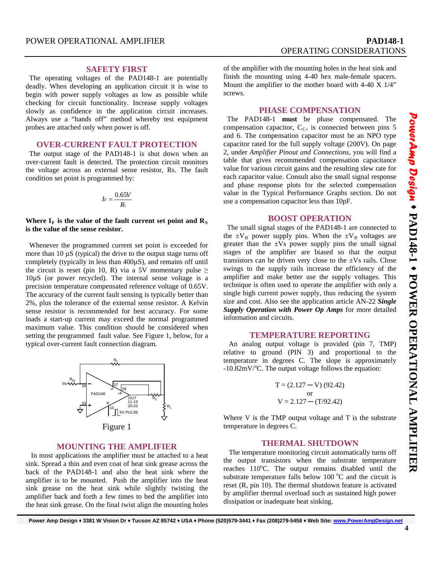#### **SAFETY FIRST**

 The operating voltages of the PAD148-1 are potentially deadly. When developing an application circuit it is wise to begin with power supply voltages as low as possible while checking for circuit functionality. Increase supply voltages slowly as confidence in the application circuit increases. Always use a "hands off" method whereby test equipment probes are attached only when power is off.

#### **OVER-CURRENT FAULT PROTECTION**

 The output stage of the PAD148-1 is shut down when an over-current fault is detected. The protection circuit monitors the voltage across an external sense resistor, Rs. The fault condition set point is programmed by:

$$
I_F=\frac{0.65V}{R_s}
$$

Where  $I_F$  is the value of the fault current set point and  $R_S$ **is the value of the sense resistor.** 

 Whenever the programmed current set point is exceeded for more than 10 µS (typical) the drive to the output stage turns off completely (typically in less than 400µS), and remains off until the circuit is reset (pin 10, R) via a 5V momentary pulse  $\geq$ 10µS (or power recycled). The internal sense voltage is a precision temperature compensated reference voltage of 0.65V. The accuracy of the current fault sensing is typically better than 2%, plus the tolerance of the external sense resistor. A Kelvin sense resistor is recommended for best accuracy. For some loads a start-up current may exceed the normal programmed maximum value. This condition should be considered when setting the programmed fault value. See Figure 1, below, for a typical over-current fault connection diagram.



L

#### **MOUNTING THE AMPLIFIER**

 In most applications the amplifier must be attached to a heat sink. Spread a thin and even coat of heat sink grease across the back of the PAD148-1 and also the heat sink where the amplifier is to be mounted. Push the amplifier into the heat sink grease on the heat sink while slightly twisting the amplifier back and forth a few times to bed the amplifier into the heat sink grease. On the final twist align the mounting holes

of the amplifier with the mounting holes in the heat sink and finish the mounting using 4-40 hex male-female spacers. Mount the amplifier to the mother board with 4-40 X 1/4" screws.

#### **PHASE COMPENSATION**

 The PAD148-1 **must** be phase compensated. The compensation capacitor,  $C_{C}$ , is connected between pins 5 and 6. The compensation capacitor must be an NPO type capacitor rated for the full supply voltage (200V). On page 2, under *Amplifier Pinout and Connections*, you will find a table that gives recommended compensation capacitance value for various circuit gains and the resulting slew rate for each capacitor value. Consult also the small signal response and phase response plots for the selected compensation value in the Typical Performance Graphs section. Do not use a compensation capacitor less than 10pF.

#### **BOOST OPERATION**

 The small signal stages of the PAD148-1 are connected to the  $\pm V_B$  power supply pins. When the  $\pm V_B$  voltages are greater than the  $\pm Vs$  power supply pins the small signal stages of the amplifier are biased so that the output transistors can be driven very close to the  $\pm$ Vs rails. Close swings to the supply rails increase the efficiency of the amplifier and make better use the supply voltages. This technique is often used to operate the amplifier with only a single high current power supply, thus reducing the system size and cost. Also see the application article AN-22 *Single Supply Operation with Power Op Amps* for more detailed information and circuits.

#### **TEMPERATURE REPORTING**

 An analog output voltage is provided (pin 7, TMP) relative to ground (PIN 3) and proportional to the temperature in degrees C. The slope is approximately  $-10.82$ mV/°C. The output voltage follows the equation:

$$
T = (2.127 - V) (92.42)
$$
  
or  

$$
V = 2.127 - (T/92.42)
$$

Where V is the TMP output voltage and T is the substrate temperature in degrees C.

#### **THERMAL SHUTDOWN**

 The temperature monitoring circuit automatically turns off the output transistors when the substrate temperature reaches 110°C. The output remains disabled until the substrate temperature falls below  $100^{\circ}$ C and the circuit is reset (R, pin 10). The thermal shutdown feature is activated by amplifier thermal overload such as sustained high power dissipation or inadequate heat sinking.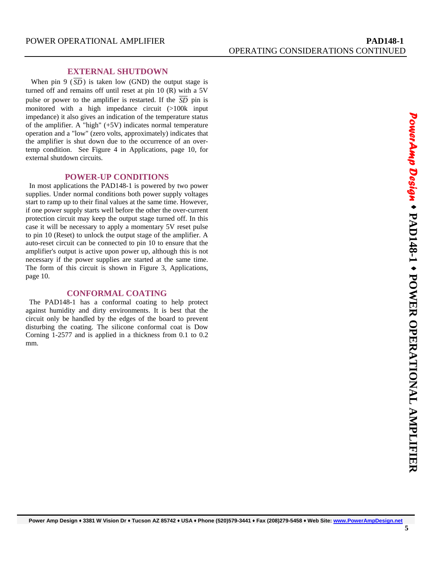#### **EXTERNAL SHUTDOWN**

When pin 9 ( $\overline{SD}$ ) is taken low (GND) the output stage is turned off and remains off until reset at pin 10 (R) with a 5V pulse or power to the amplifier is restarted. If the  $\overline{SD}$  pin is monitored with a high impedance circuit (>100k input impedance) it also gives an indication of the temperature status of the amplifier. A "high" (+5V) indicates normal temperature operation and a "low" (zero volts, approximately) indicates that the amplifier is shut down due to the occurrence of an overtemp condition. See Figure 4 in Applications, page 10, for external shutdown circuits.

#### **POWER-UP CONDITIONS**

 In most applications the PAD148-1 is powered by two power supplies. Under normal conditions both power supply voltages start to ramp up to their final values at the same time. However, if one power supply starts well before the other the over-current protection circuit may keep the output stage turned off. In this case it will be necessary to apply a momentary 5V reset pulse to pin 10 (Reset) to unlock the output stage of the amplifier. A auto-reset circuit can be connected to pin 10 to ensure that the amplifier's output is active upon power up, although this is not necessary if the power supplies are started at the same time. The form of this circuit is shown in Figure 3, Applications, page 10.

#### **CONFORMAL COATING**

 The PAD148-1 has a conformal coating to help protect against humidity and dirty environments. It is best that the circuit only be handled by the edges of the board to prevent disturbing the coating. The silicone conformal coat is Dow Corning 1-2577 and is applied in a thickness from 0.1 to 0.2 mm.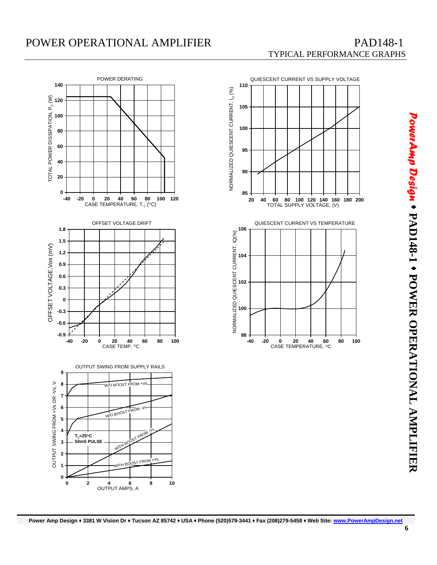## POWER OPERATIONAL AMPLIFIER PAD148-1

# TYPICAL PERFORMANCE GRAPHS





*PowerAmp Design*  $\bullet$ **PAD148-1**  ٠  **POWER OPERATIONAL AMPLIFIER**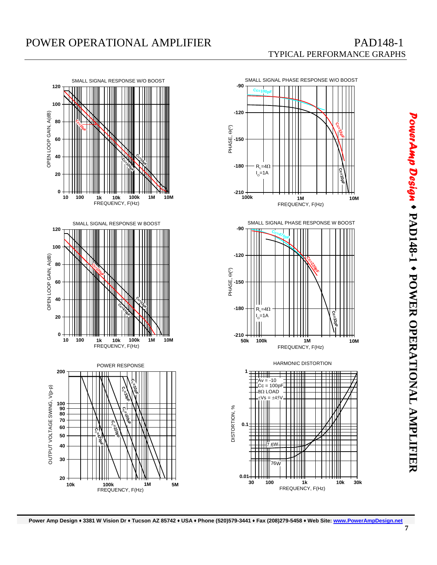



*PowerAmp Design*  $\bullet$ **PAD148-1**  ٠  **POWER OPERATIONAL AMPLIFIER**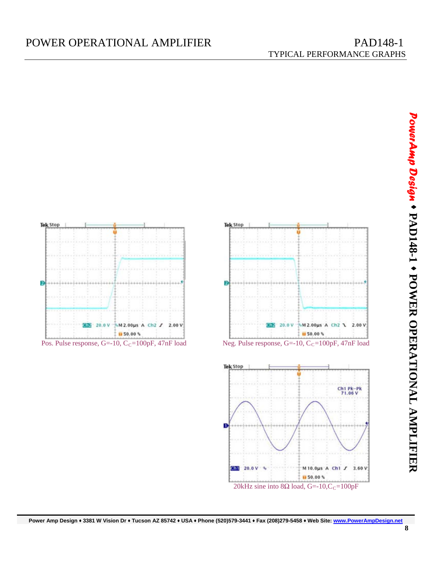







*PowerAmp Design*  $\bullet$ **PAD148-1**  ٠  **POWER OPERATIONAL AMPLIFIER**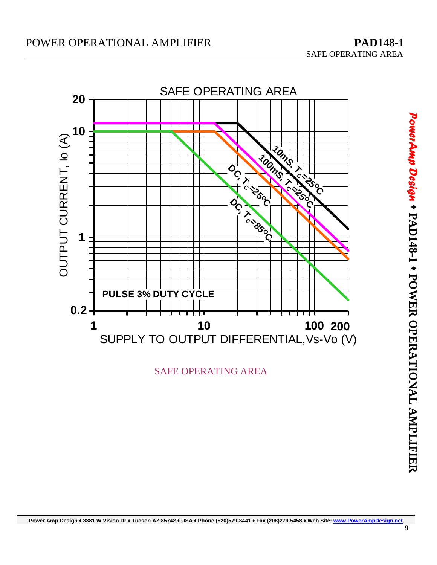

SAFE OPERATING AREA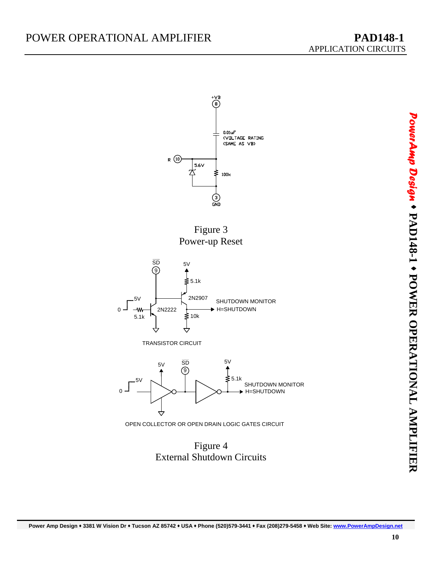

Figure 4 External Shutdown Circuits